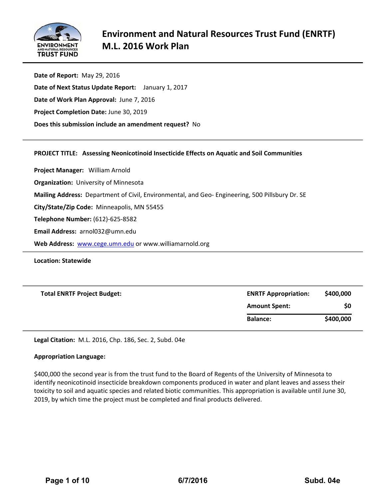

| Date of Report: May 29, 2016                          |  |
|-------------------------------------------------------|--|
| Date of Next Status Update Report: January 1, 2017    |  |
| Date of Work Plan Approval: June 7, 2016              |  |
| Project Completion Date: June 30, 2019                |  |
| Does this submission include an amendment request? No |  |
|                                                       |  |

#### **PROJECT TITLE: Assessing Neonicotinoid Insecticide Effects on Aquatic and Soil Communities**

**Project Manager:**  William Arnold **Organization:** University of Minnesota **Mailing Address:** Department of Civil, Environmental, and Geo‐ Engineering, 500 Pillsbury Dr. SE **City/State/Zip Code:** Minneapolis, MN 55455 **Telephone Number:** (612)‐625‐8582 **Email Address:** arnol032@umn.edu **Web Address:** www.cege.umn.edu or www.williamarnold.org

**Location: Statewide**

| <b>Total ENRTF Project Budget:</b> | <b>ENRTF Appropriation:</b> | \$400,000 |
|------------------------------------|-----------------------------|-----------|
|                                    | <b>Amount Spent:</b>        | \$0       |
|                                    | <b>Balance:</b>             | \$400,000 |

**Legal Citation:** M.L. 2016, Chp. 186, Sec. 2, Subd. 04e

#### **Appropriation Language:**

\$400,000 the second year is from the trust fund to the Board of Regents of the University of Minnesota to identify neonicotinoid insecticide breakdown components produced in water and plant leaves and assess their toxicity to soil and aquatic species and related biotic communities. This appropriation is available until June 30, 2019, by which time the project must be completed and final products delivered.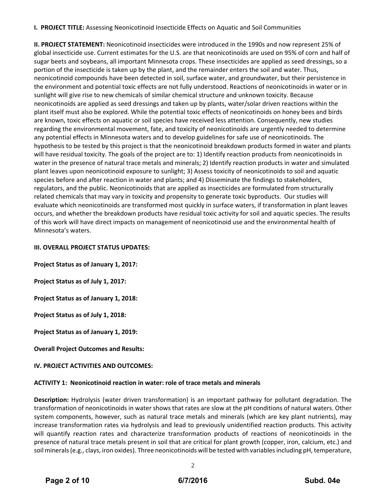#### **I. PROJECT TITLE:** Assessing Neonicotinoid Insecticide Effects on Aquatic and Soil Communities

**II. PROJECT STATEMENT:** Neonicotinoid insecticides were introduced in the 1990s and now represent 25% of global insecticide use. Current estimates for the U.S. are that neonicotinoids are used on 95% of corn and half of sugar beets and soybeans, all important Minnesota crops. These insecticides are applied as seed dressings, so a portion of the insecticide is taken up by the plant, and the remainder enters the soil and water. Thus, neonicotinoid compounds have been detected in soil, surface water, and groundwater, but their persistence in the environment and potential toxic effects are not fully understood. Reactions of neonicotinoids in water or in sunlight will give rise to new chemicals of similar chemical structure and unknown toxicity. Because neonicotinoids are applied as seed dressings and taken up by plants, water/solar driven reactions within the plant itself must also be explored. While the potential toxic effects of neonicotinoids on honey bees and birds are known, toxic effects on aquatic or soil species have received less attention. Consequently, new studies regarding the environmental movement, fate, and toxicity of neonicotinoids are urgently needed to determine any potential effects in Minnesota waters and to develop guidelines for safe use of neonicotinoids. The hypothesis to be tested by this project is that the neonicotinoid breakdown products formed in water and plants will have residual toxicity. The goals of the project are to: 1) Identify reaction products from neonicotinoids in water in the presence of natural trace metals and minerals; 2) Identify reaction products in water and simulated plant leaves upon neonicotinoid exposure to sunlight; 3) Assess toxicity of neonicotinoids to soil and aquatic species before and after reaction in water and plants; and 4) Disseminate the findings to stakeholders, regulators, and the public. Neonicotinoids that are applied as insecticides are formulated from structurally related chemicals that may vary in toxicity and propensity to generate toxic byproducts. Our studies will evaluate which neonicotinoids are transformed most quickly in surface waters, if transformation in plant leaves occurs, and whether the breakdown products have residual toxic activity for soil and aquatic species. The results of this work will have direct impacts on management of neonicotinoid use and the environmental health of Minnesota's waters.

#### **III. OVERALL PROJECT STATUS UPDATES:**

**Project Status as of January 1, 2017:**

**Project Status as of July 1, 2017:**

**Project Status as of January 1, 2018:**

**Project Status as of July 1, 2018:**

**Project Status as of January 1, 2019:**

**Overall Project Outcomes and Results:**

#### **IV. PROJECT ACTIVITIES AND OUTCOMES:**

#### **ACTIVITY 1: Neonicotinoid reaction in water: role of trace metals and minerals**

**Description:** Hydrolysis (water driven transformation) is an important pathway for pollutant degradation. The transformation of neonicotinoids in water shows that rates are slow at the pH conditions of natural waters. Other system components, however, such as natural trace metals and minerals (which are key plant nutrients), may increase transformation rates via hydrolysis and lead to previously unidentified reaction products. This activity will quantify reaction rates and characterize transformation products of reactions of neonicotinoids in the presence of natural trace metals present in soil that are critical for plant growth (copper, iron, calcium, etc.) and soil minerals (e.g., clays, iron oxides). Three neonicotinoids will be tested with variables including pH, temperature,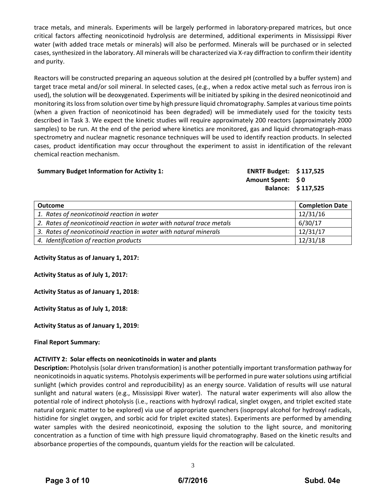trace metals, and minerals. Experiments will be largely performed in laboratory‐prepared matrices, but once critical factors affecting neonicotinoid hydrolysis are determined, additional experiments in Mississippi River water (with added trace metals or minerals) will also be performed. Minerals will be purchased or in selected cases, synthesized in the laboratory. All minerals will be characterized via X-ray diffraction to confirm their identity and purity.

Reactors will be constructed preparing an aqueous solution at the desired pH (controlled by a buffer system) and target trace metal and/or soil mineral. In selected cases, (e.g., when a redox active metal such as ferrous iron is used), the solution will be deoxygenated. Experiments will be initiated by spiking in the desired neonicotinoid and monitoring itslossfrom solution overtime by high pressure liquid chromatography. Samples at varioustime points (when a given fraction of neonicotinoid has been degraded) will be immediately used for the toxicity tests described in Task 3. We expect the kinetic studies will require approximately 200 reactors (approximately 2000 samples) to be run. At the end of the period where kinetics are monitored, gas and liquid chromatograph‐mass spectrometry and nuclear magnetic resonance techniques will be used to identify reaction products. In selected cases, product identification may occur throughout the experiment to assist in identification of the relevant chemical reaction mechanism.

#### **Summary Budget Information for Activity 1: ENRTF Budget: \$ 117,525**

**Amount Spent: \$ 0 Balance: \$ 117,525**

| <b>Outcome</b>                                                        | <b>Completion Date</b> |
|-----------------------------------------------------------------------|------------------------|
| 1. Rates of neonicotinoid reaction in water                           | 12/31/16               |
| 2. Rates of neonicotinoid reaction in water with natural trace metals | 6/30/17                |
| 3. Rates of neonicotinoid reaction in water with natural minerals     | 12/31/17               |
| 4. Identification of reaction products                                | 12/31/18               |

**Activity Status as of January 1, 2017:**

**Activity Status as of July 1, 2017:**

**Activity Status as of January 1, 2018:**

**Activity Status as of July 1, 2018:**

**Activity Status as of January 1, 2019:**

**Final Report Summary:**

#### **ACTIVITY 2: Solar effects on neonicotinoids in water and plants**

**Description:** Photolysis (solar driven transformation) is another potentially important transformation pathway for neonicotinoidsin aquatic systems. Photolysis experiments will be performed in pure watersolutions using artificial sunlight (which provides control and reproducibility) as an energy source. Validation of results will use natural sunlight and natural waters (e.g., Mississippi River water). The natural water experiments will also allow the potential role of indirect photolysis (i.e., reactions with hydroxyl radical, singlet oxygen, and triplet excited state natural organic matter to be explored) via use of appropriate quenchers (isopropyl alcohol for hydroxyl radicals, histidine for singlet oxygen, and sorbic acid for triplet excited states). Experiments are performed by amending water samples with the desired neonicotinoid, exposing the solution to the light source, and monitoring concentration as a function of time with high pressure liquid chromatography. Based on the kinetic results and absorbance properties of the compounds, quantum yields for the reaction will be calculated.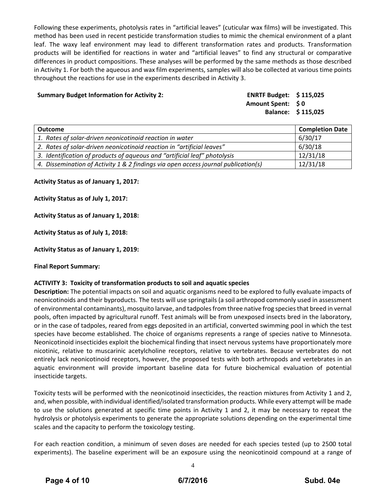Following these experiments, photolysis rates in "artificial leaves" (cuticular wax films) will be investigated. This method has been used in recent pesticide transformation studies to mimic the chemical environment of a plant leaf. The waxy leaf environment may lead to different transformation rates and products. Transformation products will be identified for reactions in water and "artificial leaves" to find any structural or comparative differences in product compositions. These analyses will be performed by the same methods as those described in Activity 1. For both the aqueous and wax film experiments, samples will also be collected at various time points throughout the reactions for use in the experiments described in Activity 3.

#### **Summary Budget Information for Activity 2: ENRTF Budget: \$ 115,025**

**Amount Spent: \$ 0 Balance: \$ 115,025**

| <b>Outcome</b>                                                                     | <b>Completion Date</b> |
|------------------------------------------------------------------------------------|------------------------|
| 1. Rates of solar-driven neonicotinoid reaction in water                           | 6/30/17                |
| 2. Rates of solar-driven neonicotinoid reaction in "artificial leaves"             | 6/30/18                |
| 3. Identification of products of aqueous and "artificial leaf" photolysis          | 12/31/18               |
| 4. Dissemination of Activity 1 & 2 findings via open access journal publication(s) | 12/31/18               |

**Activity Status as of January 1, 2017:**

**Activity Status as of July 1, 2017:**

**Activity Status as of January 1, 2018:**

**Activity Status as of July 1, 2018:**

**Activity Status as of January 1, 2019:**

**Final Report Summary:**

#### **ACTIVITY 3: Toxicity of transformation products to soil and aquatic species**

**Description:** The potential impacts on soil and aquatic organisms need to be explored to fully evaluate impacts of neonicotinoids and their byproducts. The tests will use springtails (a soil arthropod commonly used in assessment of environmental contaminants), mosquito larvae, and tadpolesfrom three native frog speciesthat breed in vernal pools, often impacted by agricultural runoff. Test animals will be from unexposed insects bred in the laboratory, or in the case of tadpoles, reared from eggs deposited in an artificial, converted swimming pool in which the test species have become established. The choice of organisms represents a range of species native to Minnesota. Neonicotinoid insecticides exploit the biochemical finding that insect nervous systems have proportionately more nicotinic, relative to muscarinic acetylcholine receptors, relative to vertebrates. Because vertebrates do not entirely lack neonicotinoid receptors, however, the proposed tests with both arthropods and vertebrates in an aquatic environment will provide important baseline data for future biochemical evaluation of potential insecticide targets.

Toxicity tests will be performed with the neonicotinoid insecticides, the reaction mixtures from Activity 1 and 2, and, when possible, with individual identified/isolated transformation products. While every attempt will be made to use the solutions generated at specific time points in Activity 1 and 2, it may be necessary to repeat the hydrolysis or photolysis experiments to generate the appropriate solutions depending on the experimental time scales and the capacity to perform the toxicology testing.

For each reaction condition, a minimum of seven doses are needed for each species tested (up to 2500 total experiments). The baseline experiment will be an exposure using the neonicotinoid compound at a range of

4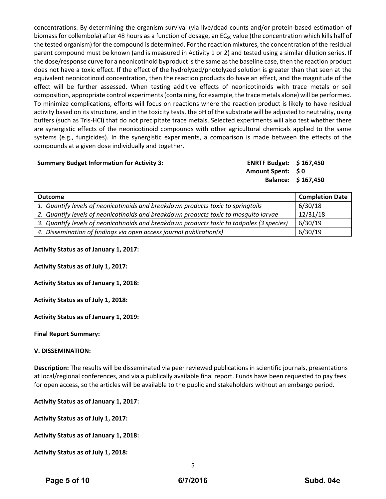concentrations. By determining the organism survival (via live/dead counts and/or protein‐based estimation of biomass for collembola) after 48 hours as a function of dosage, an  $EC_{50}$  value (the concentration which kills half of the tested organism) for the compound is determined. For the reaction mixtures, the concentration of the residual parent compound must be known (and is measured in Activity 1 or 2) and tested using a similar dilution series. If the dose/response curve for a neonicotinoid byproduct isthe same asthe baseline case, then the reaction product does not have a toxic effect. If the effect of the hydrolyzed/photolyzed solution is greater than that seen at the equivalent neonicotinoid concentration, then the reaction products do have an effect, and the magnitude of the effect will be further assessed. When testing additive effects of neonicotinoids with trace metals or soil composition, appropriate control experiments(containing, for example, the trace metals alone) will be performed. To minimize complications, efforts will focus on reactions where the reaction product is likely to have residual activity based on its structure, and in the toxicity tests, the pH of the substrate will be adjusted to neutrality, using buffers (such as Tris‐HCl) that do not precipitate trace metals. Selected experiments will also test whether there are synergistic effects of the neonicotinoid compounds with other agricultural chemicals applied to the same systems (e.g., fungicides). In the synergistic experiments, a comparison is made between the effects of the compounds at a given dose individually and together.

#### **Summary Budget Information for Activity 3: ENRTF Budget: \$ 167,450**

**Amount Spent: \$ 0 Balance: \$ 167,450**

| <b>Outcome</b>                                                                            | <b>Completion Date</b> |
|-------------------------------------------------------------------------------------------|------------------------|
| 1. Quantify levels of neonicotinoids and breakdown products toxic to springtails          | 6/30/18                |
| 2. Quantify levels of neonicotinoids and breakdown products toxic to mosquito larvae      | 12/31/18               |
| 3. Quantify levels of neonicotinoids and breakdown products toxic to tadpoles (3 species) | 6/30/19                |
| 4. Dissemination of findings via open access journal publication(s)                       | 6/30/19                |

**Activity Status as of January 1, 2017:**

**Activity Status as of July 1, 2017:**

**Activity Status as of January 1, 2018:**

**Activity Status as of July 1, 2018:**

**Activity Status as of January 1, 2019:**

**Final Report Summary:**

#### **V. DISSEMINATION:**

**Description:** The results will be disseminated via peer reviewed publications in scientific journals, presentations at local/regional conferences, and via a publically available final report. Funds have been requested to pay fees for open access, so the articles will be available to the public and stakeholders without an embargo period.

**Activity Status as of January 1, 2017:**

**Activity Status as of July 1, 2017:**

**Activity Status as of January 1, 2018:**

**Activity Status as of July 1, 2018:**

5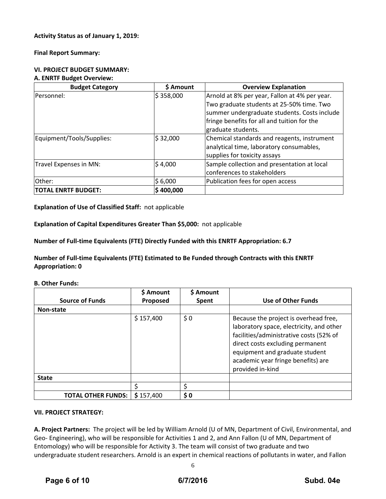#### **Activity Status as of January 1, 2019:**

**Final Report Summary:**

### **VI. PROJECT BUDGET SUMMARY:**

#### **A. ENRTF Budget Overview:**

| <b>Budget Category</b>     | \$ Amount | <b>Overview Explanation</b>                   |
|----------------------------|-----------|-----------------------------------------------|
| lPersonnel:                | \$358,000 | Arnold at 8% per year, Fallon at 4% per year. |
|                            |           | Two graduate students at 25-50% time. Two     |
|                            |           | summer undergraduate students. Costs include  |
|                            |           | fringe benefits for all and tuition for the   |
|                            |           | graduate students.                            |
| Equipment/Tools/Supplies:  | \$32,000  | Chemical standards and reagents, instrument   |
|                            |           | analytical time, laboratory consumables,      |
|                            |           | supplies for toxicity assays                  |
| Travel Expenses in MN:     | \$4,000   | Sample collection and presentation at local   |
|                            |           | conferences to stakeholders                   |
| Other:                     | \$6,000   | Publication fees for open access              |
| <b>TOTAL ENRTF BUDGET:</b> | \$400,000 |                                               |

**Explanation of Use of Classified Staff:** not applicable

**Explanation of Capital Expenditures Greater Than \$5,000:** not applicable

**Number of Full‐time Equivalents (FTE) Directly Funded with this ENRTF Appropriation: 6.7**

**Number of Full‐time Equivalents (FTE) Estimated to Be Funded through Contracts with this ENRTF Appropriation: 0**

**B. Other Funds:**

| <b>Source of Funds</b>    | \$ Amount<br>Proposed | \$ Amount<br>Spent | <b>Use of Other Funds</b>                                                                                                                                                                                                                                    |
|---------------------------|-----------------------|--------------------|--------------------------------------------------------------------------------------------------------------------------------------------------------------------------------------------------------------------------------------------------------------|
| <b>Non-state</b>          |                       |                    |                                                                                                                                                                                                                                                              |
|                           | \$157,400             | \$0                | Because the project is overhead free,<br>laboratory space, electricity, and other<br>facilities/administrative costs (52% of<br>direct costs excluding permanent<br>equipment and graduate student<br>academic year fringe benefits) are<br>provided in-kind |
| <b>State</b>              |                       |                    |                                                                                                                                                                                                                                                              |
|                           |                       |                    |                                                                                                                                                                                                                                                              |
| <b>TOTAL OTHER FUNDS:</b> | \$157,400             | \$0                |                                                                                                                                                                                                                                                              |

#### **VII. PROJECT STRATEGY:**

**A. Project Partners:** The project will be led by William Arnold (U of MN, Department of Civil, Environmental, and Geo- Engineering), who will be responsible for Activities 1 and 2, and Ann Fallon (U of MN, Department of Entomology) who will be responsible for Activity 3. The team will consist of two graduate and two undergraduate student researchers. Arnold is an expert in chemical reactions of pollutants in water, and Fallon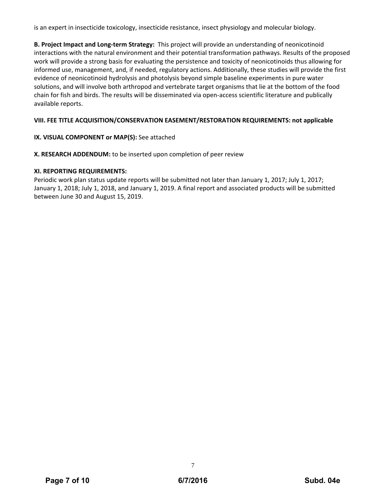is an expert in insecticide toxicology, insecticide resistance, insect physiology and molecular biology.

**B. Project Impact and Long‐term Strategy:** This project will provide an understanding of neonicotinoid interactions with the natural environment and their potential transformation pathways. Results of the proposed work will provide a strong basis for evaluating the persistence and toxicity of neonicotinoids thus allowing for informed use, management, and, if needed, regulatory actions. Additionally, these studies will provide the first evidence of neonicotinoid hydrolysis and photolysis beyond simple baseline experiments in pure water solutions, and will involve both arthropod and vertebrate target organisms that lie at the bottom of the food chain for fish and birds. The results will be disseminated via open‐access scientific literature and publically available reports.

#### **VIII. FEE TITLE ACQUISITION/CONSERVATION EASEMENT/RESTORATION REQUIREMENTS: not applicable**

#### **IX. VISUAL COMPONENT or MAP(S):** See attached

**X. RESEARCH ADDENDUM:** to be inserted upon completion of peer review

#### **XI. REPORTING REQUIREMENTS:**

Periodic work plan status update reports will be submitted not later than January 1, 2017; July 1, 2017; January 1, 2018; July 1, 2018, and January 1, 2019. A final report and associated products will be submitted between June 30 and August 15, 2019.

7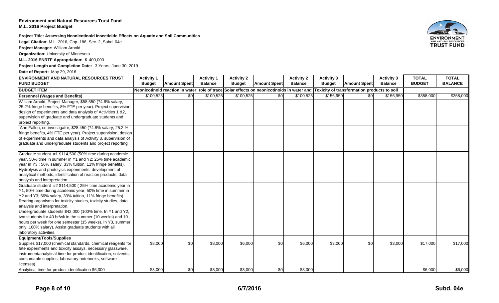#### **Environment and Natural Resources Trust FundM.L. 2016 Project Budget**

**Project Title: Assessing Neonicotinoid Insecticide Effects on Aquatic and Soil Communities**

**Legal Citation:** M.L. 2016, Chp. 186, Sec. 2, Subd. 04e

**Project Manager:** William Arnold

**Organization:** University of Minnesota

**M.L. 2016 ENRTF Appropriation: \$** 400,000

**Project Length and Completion Date:** 3 Years, June 30, 2019

**Date of Report:** May 29, 2016

| <b>ENVIRONMENT AND NATURAL RESOURCES TRUST</b>                   | <b>Activity 1</b> |                                                                                                                                         | <b>Activity 1</b> | <b>Activity 2</b> |                     | <b>Activity 2</b> | <b>Activity 3</b> |                     | <b>Activity 3</b> | <b>TOTAL</b>  | <b>TOTAL</b>   |
|------------------------------------------------------------------|-------------------|-----------------------------------------------------------------------------------------------------------------------------------------|-------------------|-------------------|---------------------|-------------------|-------------------|---------------------|-------------------|---------------|----------------|
| <b>FUND BUDGET</b>                                               | <b>Budget</b>     | <b>Amount Spent</b>                                                                                                                     | <b>Balance</b>    | <b>Budget</b>     | <b>Amount Spent</b> | <b>Balance</b>    | <b>Budget</b>     | <b>Amount Spent</b> | <b>Balance</b>    | <b>BUDGET</b> | <b>BALANCE</b> |
| <b>BUDGET ITEM</b>                                               |                   | Neonicotinoid reaction in water: role of trace Solar effects on neonicotinoids in water and Toxicity of transformation products to soil |                   |                   |                     |                   |                   |                     |                   |               |                |
| <b>Personnel (Wages and Benefits)</b>                            | \$100,525         | \$0                                                                                                                                     | \$100,525         | \$100,525         | $\overline{30}$     | \$100,525         | \$156,950         | \$0                 | \$156,950         | \$358,000     | \$358,000      |
| William Arnold, Project Manager, \$58,550 (74.8% salary,         |                   |                                                                                                                                         |                   |                   |                     |                   |                   |                     |                   |               |                |
| 25.2% fringe benefits, 8% FTE per year). Project supervision,    |                   |                                                                                                                                         |                   |                   |                     |                   |                   |                     |                   |               |                |
| design of experiments and data analysis of Activities 1 &2,      |                   |                                                                                                                                         |                   |                   |                     |                   |                   |                     |                   |               |                |
| supervision of graduate and undergraduate students and           |                   |                                                                                                                                         |                   |                   |                     |                   |                   |                     |                   |               |                |
| project reporting.                                               |                   |                                                                                                                                         |                   |                   |                     |                   |                   |                     |                   |               |                |
| Ann Fallon, co-investigator, \$28,450 (74.8% salary, 25.2 %      |                   |                                                                                                                                         |                   |                   |                     |                   |                   |                     |                   |               |                |
| fringe benefits, 4% FTE per year). Project supervision, design   |                   |                                                                                                                                         |                   |                   |                     |                   |                   |                     |                   |               |                |
| of experiments and data analysis of Activity 3, supervision of   |                   |                                                                                                                                         |                   |                   |                     |                   |                   |                     |                   |               |                |
| graduate and undergraduate students and project reporting        |                   |                                                                                                                                         |                   |                   |                     |                   |                   |                     |                   |               |                |
| Graduate student #1 \$114,500 (50% time during academic          |                   |                                                                                                                                         |                   |                   |                     |                   |                   |                     |                   |               |                |
| year, 50% time in summer in Y1 and Y2; 25% time academic         |                   |                                                                                                                                         |                   |                   |                     |                   |                   |                     |                   |               |                |
| year in Y3; 56% salary, 33% tuition, 11% fringe benefits).       |                   |                                                                                                                                         |                   |                   |                     |                   |                   |                     |                   |               |                |
| Hydrolysis and photolysis experiments, development of            |                   |                                                                                                                                         |                   |                   |                     |                   |                   |                     |                   |               |                |
| analytical methods, identification of reaction products, data    |                   |                                                                                                                                         |                   |                   |                     |                   |                   |                     |                   |               |                |
| analysis and interpretation.                                     |                   |                                                                                                                                         |                   |                   |                     |                   |                   |                     |                   |               |                |
| Graduate student #2 \$114,500 (25% time academic year in         |                   |                                                                                                                                         |                   |                   |                     |                   |                   |                     |                   |               |                |
| Y1, 50% time during academic year, 50% time in summer in         |                   |                                                                                                                                         |                   |                   |                     |                   |                   |                     |                   |               |                |
| Y2 and Y3; 56% salary, 33% tuition, 11% fringe benefits).        |                   |                                                                                                                                         |                   |                   |                     |                   |                   |                     |                   |               |                |
| Rearing organisms for toxicity studies, toxicity studies, data   |                   |                                                                                                                                         |                   |                   |                     |                   |                   |                     |                   |               |                |
| analysis and interpretation.                                     |                   |                                                                                                                                         |                   |                   |                     |                   |                   |                     |                   |               |                |
| Undergraduate students \$42,000 (100% time. In Y1 and Y2,        |                   |                                                                                                                                         |                   |                   |                     |                   |                   |                     |                   |               |                |
| two students for 40 hr/wk in the summer (10 weeks) and 10        |                   |                                                                                                                                         |                   |                   |                     |                   |                   |                     |                   |               |                |
| hours per week for one semester (15 weeks). In Y3, summer        |                   |                                                                                                                                         |                   |                   |                     |                   |                   |                     |                   |               |                |
| only. 100% salary). Assist graduate students with all            |                   |                                                                                                                                         |                   |                   |                     |                   |                   |                     |                   |               |                |
| laboratory activities.                                           |                   |                                                                                                                                         |                   |                   |                     |                   |                   |                     |                   |               |                |
| Equipment/Tools/Supplies                                         |                   |                                                                                                                                         |                   |                   |                     |                   |                   |                     |                   |               |                |
| Supplies \$17,000 (chemical standards, chemical reagents for     | \$8,000           | \$0                                                                                                                                     | \$8,000           | \$6,000           | \$0                 | \$6,000           | \$3,000           | \$0                 | \$3,000           | \$17,000      | \$17,000       |
| fate experiments and toxicity assays, necessary glassware,       |                   |                                                                                                                                         |                   |                   |                     |                   |                   |                     |                   |               |                |
| instrument/analytical time for product identification, solvents, |                   |                                                                                                                                         |                   |                   |                     |                   |                   |                     |                   |               |                |
| consumable supplies, laboratory notebooks, software              |                   |                                                                                                                                         |                   |                   |                     |                   |                   |                     |                   |               |                |
| licenses)                                                        |                   |                                                                                                                                         |                   |                   |                     |                   |                   |                     |                   |               |                |
| Analytical time for product identification \$6,000               | \$3,000           | \$0                                                                                                                                     | \$3,000           | \$3,000           | \$0                 | \$3,000           |                   |                     |                   | \$6,000       | \$6,000        |

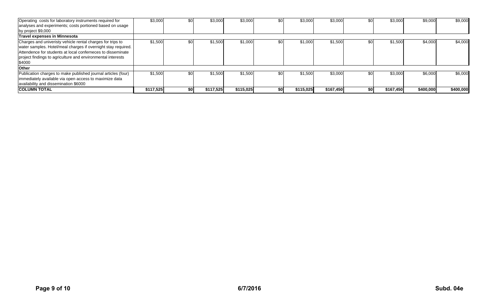| Operating costs for laboratory instruments required for<br>analyses and experiments; costs portioned based on usage                                                                                                                                                 | \$3,000   | \$0  | \$3,000   | \$3,000   |     | \$3,000   | \$3,000   | \$0 | \$3,000   | \$9,000   | \$9,000   |
|---------------------------------------------------------------------------------------------------------------------------------------------------------------------------------------------------------------------------------------------------------------------|-----------|------|-----------|-----------|-----|-----------|-----------|-----|-----------|-----------|-----------|
| by project \$9,000                                                                                                                                                                                                                                                  |           |      |           |           |     |           |           |     |           |           |           |
| <b>Travel expenses in Minnesota</b>                                                                                                                                                                                                                                 |           |      |           |           |     |           |           |     |           |           |           |
| Charges and univeristy vehicle rental charges for trips to<br>water samples. Hotel/meal charges if overnight stay required.<br>Attendence for students at local conferneces to disseminate<br>project findings to agriculture and environmental interests<br>\$4000 | \$1,500   | \$0  | \$1,500   | \$1,000   |     | \$1,000   | \$1,500   | \$0 | \$1,500   | \$4,000   | \$4,000   |
| <b>Other</b>                                                                                                                                                                                                                                                        |           |      |           |           |     |           |           |     |           |           |           |
| Publication charges to make published journal articles (four)<br>immediately available via open access to maximize data<br>availability and dissemination \$6000                                                                                                    | \$1,500   | \$0  | \$1,500   | \$1,500   | \$0 | \$1,500   | \$3,000   | \$0 | \$3,000   | \$6,000   | \$6,000   |
| <b>ICOLUMN TOTAL</b>                                                                                                                                                                                                                                                | \$117,525 | \$OI | \$117,525 | \$115,025 |     | \$115,025 | \$167,450 | \$0 | \$167,450 | \$400,000 | \$400,000 |